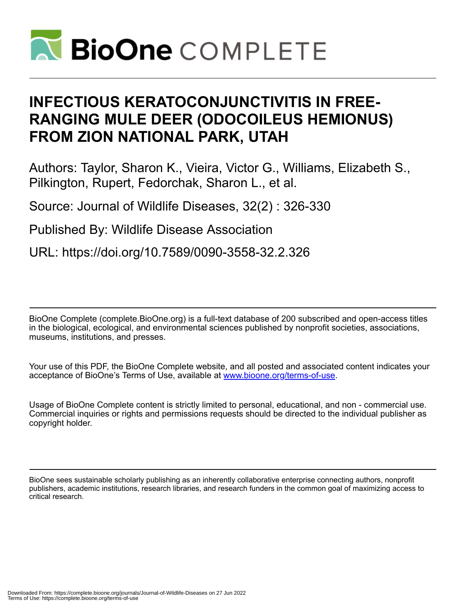

# **INFECTIOUS KERATOCONJUNCTIVITIS IN FREE-RANGING MULE DEER (ODOCOILEUS HEMIONUS) FROM ZION NATIONAL PARK, UTAH**

Authors: Taylor, Sharon K., Vieira, Victor G., Williams, Elizabeth S., Pilkington, Rupert, Fedorchak, Sharon L., et al.

Source: Journal of Wildlife Diseases, 32(2) : 326-330

Published By: Wildlife Disease Association

URL: https://doi.org/10.7589/0090-3558-32.2.326

BioOne Complete (complete.BioOne.org) is a full-text database of 200 subscribed and open-access titles in the biological, ecological, and environmental sciences published by nonprofit societies, associations, museums, institutions, and presses.

Your use of this PDF, the BioOne Complete website, and all posted and associated content indicates your acceptance of BioOne's Terms of Use, available at www.bioone.org/terms-of-use.

Usage of BioOne Complete content is strictly limited to personal, educational, and non - commercial use. Commercial inquiries or rights and permissions requests should be directed to the individual publisher as copyright holder.

BioOne sees sustainable scholarly publishing as an inherently collaborative enterprise connecting authors, nonprofit publishers, academic institutions, research libraries, and research funders in the common goal of maximizing access to critical research.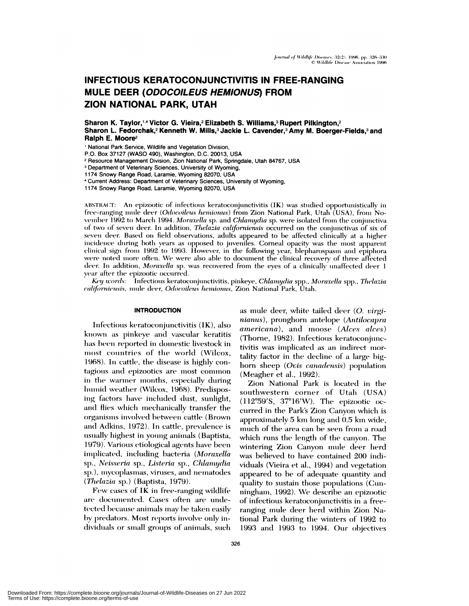## **INFECTIOUS KERATOCONJUNCTIVITIS IN FREE-RANGING** MULE DEER (ODOCOILEUS HEMIONUS) FROM ZION NATIONAL PARK, UTAH

Sharon K. Taylor,<sup>1,4</sup> Victor G. Vieira,<sup>2</sup> Elizabeth S. Williams,<sup>3</sup> Rupert Pilkington,<sup>2</sup> Sharon L. Fedorchak,<sup>2</sup> Kenneth W. Mills,<sup>3</sup> Jackie L. Cavender,<sup>3</sup> Amy M. Boerger-Fields,<sup>3</sup> and Ralph E. Moore<sup>2</sup>

' National Park Service, Wildlife and Vegetation Division,

P.O. Box 37127 (WASO 490), Washington, D.C. 20013, USA

<sup>2</sup> Resource Management Division, Zion National Park, Springdale, Utah 84767, USA

<sup>3</sup> Department of Veterinary Sciences, University of Wyoming,

1174 Snowy Range Road, Laramie, Wyoming 82070, USA

<sup>4</sup> Current Address: Department of Veterinary Sciences, University of Wyoming,

1174 Snowy Range Road, Laramie, Wyoming 82070, USA

ABSTRACT: An epizootic of infectious keratoconjunctivitis (IK) was studied opportunistically in free-ranging mule deer (*Odocoileus hemionus*) from Zion National Park, Utah (USA), from November 1992 to March 1994. Moraxella sp. and Chlamydia sp. were isolated from the conjunctiva of two of seven deer. In addition, Thelazia californiensis occurred on the conjunctivas of six of seven deer. Based on field observations, adults appeared to be affected clinically at a higher incidence during both years as opposed to juveniles. Corneal opacity was the most apparent clinical sign from 1992 to 1993. However, in the following year, blepharospasm and epiphora were noted more often. We were also able to document the clinical recovery of three affected deer. In addition, Moraxella sp. was recovered from the eyes of a clinically unaffected deer 1 year after the epizootic occurred.

Key words: Infectious keratoconjunctivitis, pinkeye, Chlamydia spp., Moraxella spp., Thelazia californiensis, mule deer, Odocoileus hemionus, Zion National Park, Utah.

#### **INTRODUCTION**

Infectious keratoconjunctivitis (IK), also known as pinkeye and vascular keratitis has been reported in domestic livestock in most countries of the world (Wilcox, 1968). In cattle, the disease is highly contagious and epizootics are most common in the warmer months, especially during humid weather (Wilcox, 1968). Predisposing factors have included dust, sunlight, and flies which mechanically transfer the organisms involved between cattle (Brown and Adkins, 1972). In cattle, prevalence is usually highest in young animals (Baptista, 1979). Various etiological agents have been implicated, including bacteria (Moraxella sp., Neisseria sp., Listeria sp., Chlamydia sp.), mycoplasmas, viruses, and nematodes (Thelazia sp.) (Baptista, 1979).

Few cases of IK in free-ranging wildlife are documented. Cases often are undetected because animals may be taken easily by predators. Most reports involve only individuals or small groups of animals, such as mule deer, white tailed deer (O. virginianus), pronghorn antelope (Antilocapra *americana*), and moose (Alces alces) (Thorne, 1982). Infectious keratoconjunctivitis was implicated as an indirect mortality factor in the decline of a large bighorn sheep (Ovis canadensis) population (Meagher et al., 1992).

Zion National Park is located in the southwestern corner of Utah (USA)  $(112°59'S, 37°16'W)$ . The epizootic occurred in the Park's Zion Canyon which is approximately 5 km long and 0.5 km wide, much of the area can be seen from a road which runs the length of the canyon. The wintering Zion Canyon mule deer herd was believed to have contained 200 individuals (Vieira et al., 1994) and vegetation appeared to be of adequate quantity and quality to sustain those populations (Cunningham, 1992). We describe an epizootic of infectious keratoconjunctivitis in a freeranging mule deer herd within Zion National Park during the winters of 1992 to 1993 and 1993 to 1994. Our objectives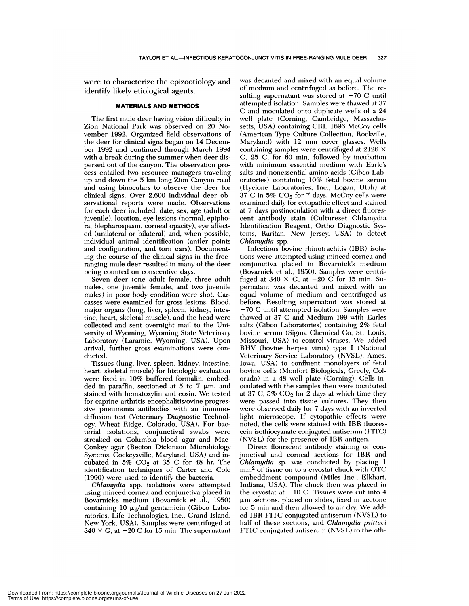were to characterize the epizootiology and identify likely etiological agents.

### **MATERIALS AND METHODS**

The first mule deer having vision difficulty in Zion National Park was observed on 20 November 1992. Organized field observations of the deer for clinical signs began on 14 Decemher 1992 and continued through March 1994 with a break during the summer when deer dispersed out of the canyon. The observation process entailed two resource managers traveling up and down the 5 km long Zion Canyon road and using binoculars to observe the deer for clinical signs. Over 2,600 individual deer observational reports were made. Observations for each deer included: date, sex, age (adult or juvenile), location, eye lesions (normal, epiphora, blepharospasm, cornea1 opacity), *eye* affected (unilateral or bilateral) and, when possible, individual animal identification (antler points and configuration, and torn ears). Documenting the course of the clinical signs in the freeranging mule deer resulted in many of the deer being counted on consecutive days.

Seven deer (one aduilt female, three adult males, one juvenile female, and two juvenile males) in poor body condition were shot. Car casses were examined for gross lesions. Blood, major organs (lung, liver, spleen, kidney, intestine, heart, skeletal muscle), and the head were collected and sent overnight mail to the University of Wyoming, Wyoming State Veterinary Laboratory (Laramie, Wyoming, USA). Upon arrival, further gross examinations were con ducted.

Tissues (lung, liver, spleen, kidney, intestine, heart, skeletal muscle) for histologic evaluation were fixed in 10% buffered formalin, embedded in paraffin, sectioned at 5 to 7  $\mu$ m, and stained with hematoxylin and eosin. We tested for caprine arthritis-encephalitis/ovine progressive pneumonia antibodies with an immunodiffusion test (Veterinary Diagnostic Technology, Wheat Ridge, Colorado, USA). For bacterial isolations, conjunctival swabs were streaked on Columbia blood agar and Mac-Conkey agar (Becton Dickinson Microbiology Systems, Cockeysvihle, Maryland, USA) and incubated in 5%  $CO<sub>2</sub>$  at 35 C for 48 hr. The identification techniques of Carter and Cole (1990) were used to identify the bacteria.

*Chlamydia* spp. isolations were attempted using minced cornea and conjunctiva placed in Bovarnick's medium (Bovarnick et al., 1950) containing 10 µg/ml gentamicin (Gibco Laboratories, Life Technologies, Inc., Grand Island, New York, USA). Samples were centrifuged at  $340 \times G$ , at  $-20$  C for 15 min. The supernatant was decanted and mixed with an equal volume of medium and centrifuged as before. The resulting supernatant was stored at  $-70$  C until attempted isolation. Samples were thawed at 37 C and inoculated onto duplicate wells of a 24 well plate (Corning, Cambridge, Massachu setts, USA) containing CRL 1696 McCoy cells (American Type Culture Collection, Rockville, Maryland) with 12 mm cover glasses. Wells containing samples were centrifuged at 2126 <sup>X</sup> G, 25 C, for 60 min, followed by incubation with minimum essential medium with Earle's salts and nonessential amino acids (Gibco Laboratories) containing  $10\%$  fetal bovine serum (Hyclone Laboratories, Inc., Logan, Utah) at  $37$  C in 5%  $CO<sub>2</sub>$  for 7 days. McCoy cells were examined daily for cytopathic effect and stained at 7 days postinoculation with a direct fluorescent antibody stain (Cultureset Chlamydia Identification Reagent, Ortho Diagnostic Systems, Raritan, New Jersey, USA) to detect *Chiamydia* spp.

Infectious bovine rhinotrachitis (IBR) isolations were attempted using minced cornea and conjunctiva placed in Bovarnick's medium (Bovarnick et al., 1950). Samples were centrifuged at 340  $\times$  G, at -20 C for 15 min. Supernatant was decanted and mixed with an equal volume of medium and centrifuged as before. Resulting supernatant was stored at -70 C until attempted isolation. Samples were thawed at  $37$  C and Medium 199 with Earles salts (Gibco Laboratories) containing 2% fetal bovine serum (Sigma Chemical Co, St. Louis, Missouri, USA) to control viruses. We added BHV (bovine herpes virus) type I (National Veterinary Service Laboratory (NVSL), Ames, Iowa, USA) to confluent monolayers of fetal bovine cells (Monfort Biologicals, Greely, Colorado) in a 48 well plate (Corning). Cells inoculated with the samples then were incubated at 37 C,  $5\%$  CO<sub>2</sub> for 2 days at which time they were passed into tissue cultures. They then were observed daily for 7 days with an inverted light microscope. If cytopathic effects were noted, the cells were stained with IBR fluorescein isothiocyanate conjugated antiserum (FITC) (NVSL) for the presence of IBR antigen.

Direct flourscent antibody staining of conjunctival and corneal sections for IBR and *Chiamydia* sp. was conducted by placing 1  $mm<sup>2</sup>$  of tissue on to a cryostat chuck with OTC embeddment compound (Miles Inc., Elkhart, Indiana, USA). The chuck then was placed in the cryostat at  $-10$  C. Tissues were cut into  $4$  $\mu$ m sections, placed on slides, fixed in acetone for 5 mm and then allowed to air dry. We added IBR FITC conjugated antiserum (NVSL) to half of these sections, and *Chlainydia psittaci* FTIC conjugated antiserum (NVSL) to the oth-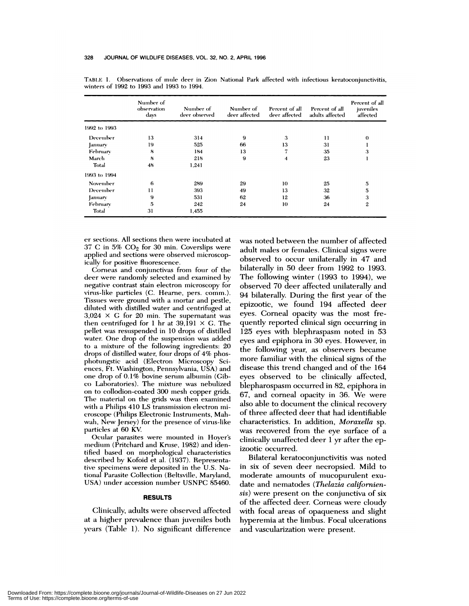|              | Number of<br>observation<br>days | Number of<br>deer observed | Number of<br>deer affected | Percent of all<br>deer affected | Percent of all<br>adults affected | Percent of all<br>juveniles<br>affected |
|--------------|----------------------------------|----------------------------|----------------------------|---------------------------------|-----------------------------------|-----------------------------------------|
| 1992 to 1993 |                                  |                            |                            |                                 |                                   |                                         |
| December     | 13                               | 314                        | 9                          | 3                               | 11                                | $\theta$                                |
| January      | 19                               | 525                        | 66                         | 13                              | 31                                |                                         |
| February     | 8                                | 184                        | 13                         |                                 | 35                                | 3                                       |
| March        | 8                                | 218                        | 9                          | 4                               | 23                                |                                         |
| Total        | 48                               | 1.241                      |                            |                                 |                                   |                                         |
| 1993 to 1994 |                                  |                            |                            |                                 |                                   |                                         |
| November     | 6                                | 289                        | 29                         | 10                              | 25                                | 5                                       |
| December     | 11                               | 393                        | 49                         | 13                              | 32                                | 5                                       |
| January      | 9                                | 531                        | 62                         | 12                              | 36                                | 3                                       |
| February     | 5                                | 242                        | 24                         | 10                              | 24                                | 2                                       |
| Total        | 31                               | 1,455                      |                            |                                 |                                   |                                         |

TABLE 1. Observations of mule deer in Zion National Park affected with infectious keratoconjunctivitis, winters of 1992 to 1993 and 1993 to **1994.**

er sections. All sections then were incubated at  $37$  C in  $5\%$  CO<sub>2</sub> for 30 min. Coverslips were applied and sections were observed microscopically for positive fluorescence.

Corneas and conjunctivas from four of the deer were randomly selected and examined by negative contrast stain electron microscopy for virus-like particles (C. Hearne, pers. comm.). Tissues were ground with a mortar and pestle, diluted with distilled water and centrifuged at  $3,024 \times G$  for 20 min. The supernatant was then centrifuged for 1 hr at 39,191  $\times$  G. The pellet was resuspended in 10 drops of distilled water. One drop of the suspension was added to a mixture of the following ingredients: 20 drops of distilled water, four drops of 4% phosphotungstic acid (Electron Microscopy Sciences, Ft. Washington, Pennsylvania, USA) and one drop of 0.1% bovine serum albumin (Gib-Co Laboratories). The mixture was nebuhized on to collodion-coated 300 mesh copper grids. The material on the grids was then examined with a Philips 410 LS transmission electron microscope (Philips Electronic Instruments, Mahwah, New Jersey) for the presence of virus-like particles at 60 KV

Ocular parasites were mounted in Hoyer's medium (Pritchard and Kruse, 1982) and identified based on morphological characteristics described by Kofoid et al. (1937). Representative specimens were deposited in the U.S. National Parasite Collection (Beltsville, Maryland, USA) under accession number USNPC 85460.

#### **RESULTS**

Clinically, adults were observed affected at a higher prevalence than juveniles both years (Table 1). No significant difference was noted between the number of affected adult males or females. Clinical signs were observed to occur unilaterally in 47 and bilaterally in 50 deer from 1992 to 1993. The following winter (1993 to 1994), we observed 70 deer affected unilaterally and 94 bilaterally. During the first year of the epizootic, we found 194 affected deer eyes. Corneal opacity was the most frequently reported clinical sign occurring in 125 eyes with blephraspasm noted in 53 eyes and epiphora in 30 eyes. However, in the following year, as observers became more familiar with the clinical signs of the disease this trend changed and of the 164 eyes observed to be clinically affected, blepharospasm occurred in 82, epiphora in 67, and corneal opacity in 36. We were also able to document the clinical recovery of three affected deer that had identifiable characteristics. In addition, *Moraxella* sp. was recovered from the eye surface of a clinically unaffected deer 1 yr after the epizootic occurred.

Bilateral keratoconjunctivitis was noted in six of seven deer necropsied. Mild to moderate amounts of mucopurulent exu date and nematodes (*Thelazia californiensis)* were present on the conjunctiva of six of the affected deer. Corneas were cloudy with focal areas of opaqueness and slight hyperemia at the limbus. Focal ulcerations and vascularization were present.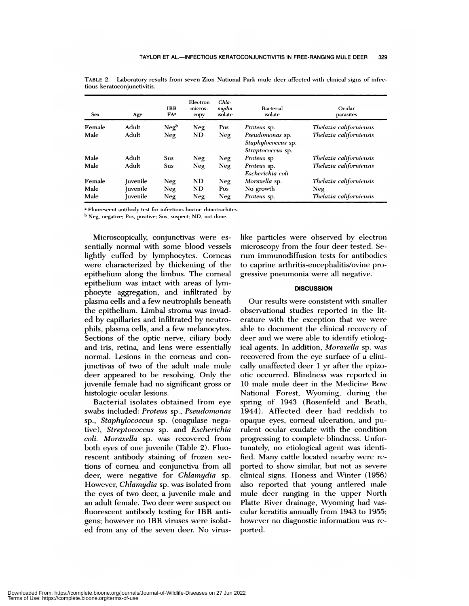| <b>Sex</b> | Age      | <b>IBR</b><br>FA <sup>a</sup> | Electron<br>micros-<br>copy | Chla-<br>mydia<br>isolate | Bacterial<br>isolate                                       | Ocular<br>parasites     |
|------------|----------|-------------------------------|-----------------------------|---------------------------|------------------------------------------------------------|-------------------------|
| Female     | Adult    | Neq <sup>b</sup>              | Neg                         | Pos                       | <i>Proteus</i> sp.                                         | Thelazia californiensis |
| Male       | Adult    | Neg                           | ND.                         | Neg                       | Pseudomonas sp.<br>Staphylococcus sp.<br>Streptococcus sp. | Thelazia californiensis |
| Male       | Adult    | <b>Sus</b>                    | Neg                         | Neg                       | Proteus sp                                                 | Thelazia californiensis |
| Male       | Adult    | <b>Sus</b>                    | Neg                         | Neg                       | Proteus sp.<br>Escherichia coli                            | Thelazia californiensis |
| Female     | Iuvenile | Neg                           | <b>ND</b>                   | Neg                       | Moraxella sp.                                              | Thelazia californiensis |
| Male       | uvenile  | Neg                           | ND                          | Pos                       | No growth                                                  | Neg                     |
| Male       | uvenile  | Neg                           | Neg                         | Neg                       | Proteus sp.                                                | Thelazia californiensis |

TABLE 2. Laboratory results from seven Zion National Park mule deer affected with clinical signs of infectious keratoconjunctivitis.

<sup>a</sup> Fluorescent antibody test for infections bovine **rhinotrachites.**

**b Neg, negative; Pos, positive; Stis. suspect; ND, not done.**

Microscopically, conjunctivas were es sentially normal with some blood vessels lightly cuffed by lymphocytes. Corneas were characterized by thickening of the epithelium along the limbus. The corneal epithelium was intact with areas of lymphocyte aggregation, and infiltrated by plasma cells and a few neutrophils beneath the epithelium. Limbal stroma was invaded by capillaries and infiltrated by neutro phils, plasma cells, and a few melanocytes. Sections of the optic nerve, cihiary body and iris, retina, and lens were essentially normal. Lesions in the corneas and conjunctivas of two of the adult male mule deer appeared to be resolving. Only the juvenile female had no significant gross or histologic ocular lesions.

Bacterial isolates obtained from eye swabs included: *Proteus* sp., *Pseudomonas* sp., *Staphylococcus* sp. (coagulase negative), *Streptococcus* sp. and *Escherichia coli. Moraxella* sp. was recovered from both eyes of one juvenile (Table 2). Fluorescent antibody staining of frozen sections of cornea and conjunctiva from all deer, were negative for *Chlamydia* sp. However, *Chiamydia* sp. was isolated from the eyes of two deer, a juvenile male and an adult female. Two deer were suspect on fluorescent antibody testing for IBR antigens; however no IBR viruses were isolated from any of the seven deer. No viruslike particles were observed by electron microscopy from the four deer tested. Serum immunodiffusion tests for antibodies to caprine arthritis-encephalitis/ovine progressive pneumonia were all negative.

#### **DISCUSSION**

Our results were consistent with smaller observational studies reported in the literature with the exception that we were able to document the clinical recovery of deer and we were able to identify etiological agents. In addition, *Moraxella* sp. was recovered from the eye surface of a clinically unaffected deer 1 yr after the epizootic occurred. Blindness was reported in 10 male mule deer in the Medicine Bow National Forest, Wyoming, during the spring of 1943 (Rosenfeld and Beath, 1944). Affected deer had reddish to opaque eyes, corneal ulceration, and purulent ocular exudate with the condition progressing to complete blindness. Unfortunately, no etiological agent was identified. Many cattle located nearby were reported to show similar, but not as severe clinical signs. Honess and Winter (1956) also reported that young antlered male mule deer ranging in the upper North Platte River drainage, Wyoming had vascular keratitis annually from 1943 to 1955; however no diagnostic information was reported.